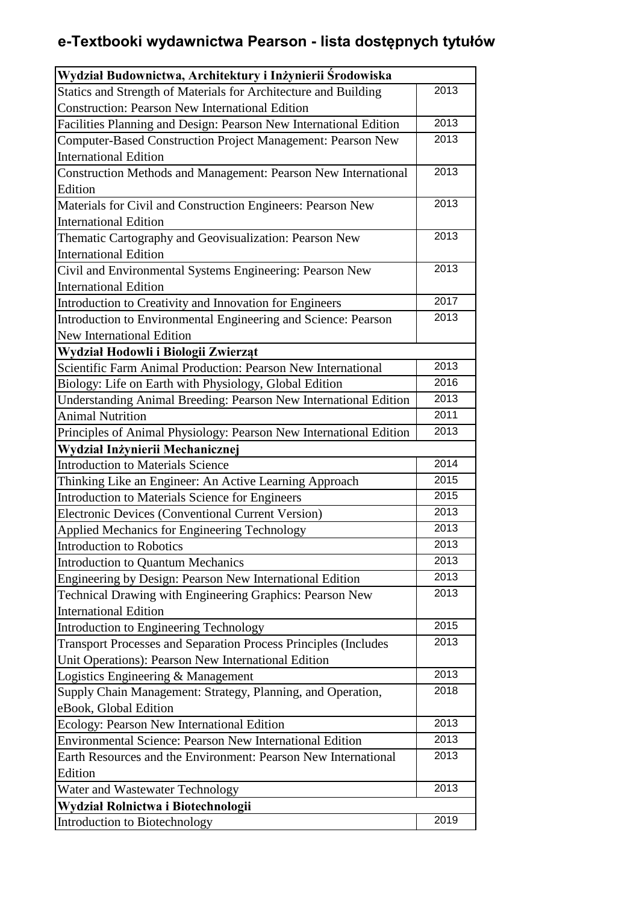## **e-Textbooki wydawnictwa Pearson - lista dostępnych tytułów**

| Wydział Budownictwa, Architektury i Inżynierii Środowiska                |      |
|--------------------------------------------------------------------------|------|
| Statics and Strength of Materials for Architecture and Building          | 2013 |
| <b>Construction: Pearson New International Edition</b>                   |      |
| Facilities Planning and Design: Pearson New International Edition        | 2013 |
| Computer-Based Construction Project Management: Pearson New              | 2013 |
| <b>International Edition</b>                                             |      |
| Construction Methods and Management: Pearson New International           | 2013 |
| Edition                                                                  |      |
| Materials for Civil and Construction Engineers: Pearson New              | 2013 |
| <b>International Edition</b>                                             |      |
| Thematic Cartography and Geovisualization: Pearson New                   | 2013 |
| <b>International Edition</b>                                             |      |
| Civil and Environmental Systems Engineering: Pearson New                 | 2013 |
| <b>International Edition</b>                                             |      |
| Introduction to Creativity and Innovation for Engineers                  | 2017 |
| Introduction to Environmental Engineering and Science: Pearson           | 2013 |
| <b>New International Edition</b>                                         |      |
| Wydział Hodowli i Biologii Zwierząt                                      |      |
| Scientific Farm Animal Production: Pearson New International             | 2013 |
| Biology: Life on Earth with Physiology, Global Edition                   | 2016 |
| Understanding Animal Breeding: Pearson New International Edition         | 2013 |
| <b>Animal Nutrition</b>                                                  | 2011 |
| Principles of Animal Physiology: Pearson New International Edition       | 2013 |
| Wydział Inżynierii Mechanicznej                                          |      |
| <b>Introduction to Materials Science</b>                                 | 2014 |
| Thinking Like an Engineer: An Active Learning Approach                   | 2015 |
| Introduction to Materials Science for Engineers                          | 2015 |
| Electronic Devices (Conventional Current Version)                        | 2013 |
| Applied Mechanics for Engineering Technology                             | 2013 |
| Introduction to Robotics                                                 | 2013 |
| <b>Introduction to Quantum Mechanics</b>                                 | 2013 |
| Engineering by Design: Pearson New International Edition                 | 2013 |
| Technical Drawing with Engineering Graphics: Pearson New                 | 2013 |
| <b>International Edition</b>                                             |      |
| Introduction to Engineering Technology                                   | 2015 |
| <b>Transport Processes and Separation Process Principles (Includes</b> ) | 2013 |
| Unit Operations): Pearson New International Edition                      |      |
| Logistics Engineering & Management                                       | 2013 |
| Supply Chain Management: Strategy, Planning, and Operation,              | 2018 |
| eBook, Global Edition                                                    |      |
| Ecology: Pearson New International Edition                               | 2013 |
| Environmental Science: Pearson New International Edition                 | 2013 |
| Earth Resources and the Environment: Pearson New International           | 2013 |
| Edition                                                                  |      |
| Water and Wastewater Technology                                          | 2013 |
| Wydział Rolnictwa i Biotechnologii                                       |      |
| Introduction to Biotechnology                                            | 2019 |
|                                                                          |      |